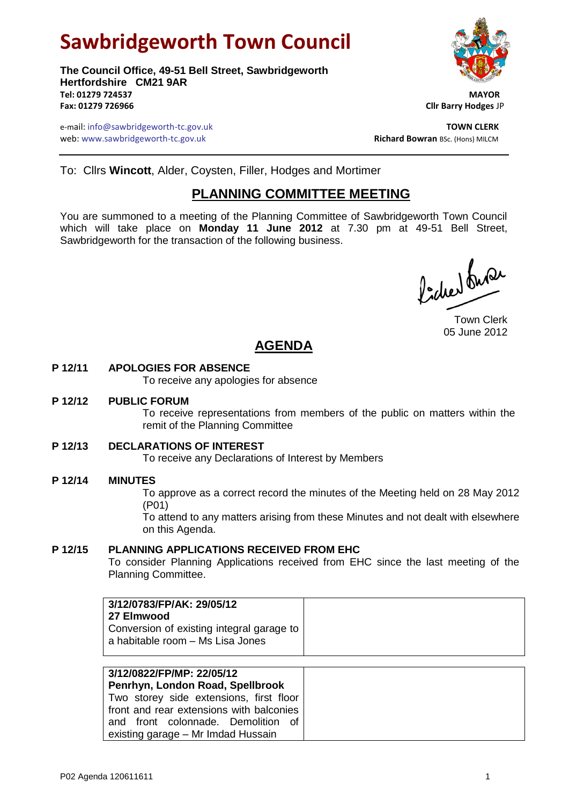# **Sawbridgeworth Town Council**

**The Council Office, 49-51 Bell Street, Sawbridgeworth Hertfordshire CM21 9AR Tel: 01279 724537 MAYOR Fax: 01279 726966 Cllr Barry Hodges** JP



e-mail: info@sawbridgeworth-tc.gov.uk **TOWN CLERK** web: www.sawbridgeworth-tc.gov.uk<br> **Richard Bowran** BSc. (Hons) MILCM

To: Cllrs **Wincott**, Alder, Coysten, Filler, Hodges and Mortimer

# **PLANNING COMMITTEE MEETING**

You are summoned to a meeting of the Planning Committee of Sawbridgeworth Town Council which will take place on **Monday 11 June 2012** at 7.30 pm at 49-51 Bell Street, Sawbridgeworth for the transaction of the following business.

Picked fuse

Town Clerk 05 June 2012

# **AGENDA**

# **P 12/11 APOLOGIES FOR ABSENCE**

To receive any apologies for absence

#### **P 12/12 PUBLIC FORUM**

To receive representations from members of the public on matters within the remit of the Planning Committee

# **P 12/13 DECLARATIONS OF INTEREST**

To receive any Declarations of Interest by Members

# **P 12/14 MINUTES**

To approve as a correct record the minutes of the Meeting held on 28 May 2012 (P01)

To attend to any matters arising from these Minutes and not dealt with elsewhere on this Agenda.

# **P 12/15 PLANNING APPLICATIONS RECEIVED FROM EHC**

To consider Planning Applications received from EHC since the last meeting of the Planning Committee.

| 3/12/0783/FP/AK: 29/05/12                 |  |
|-------------------------------------------|--|
| 27 Elmwood                                |  |
| Conversion of existing integral garage to |  |
| a habitable room - Ms Lisa Jones          |  |
|                                           |  |

| 3/12/0822/FP/MP: 22/05/12<br>Penrhyn, London Road, Spellbrook |
|---------------------------------------------------------------|
| Two storey side extensions, first floor                       |
| front and rear extensions with balconies                      |
| and front colonnade. Demolition of                            |
| existing garage - Mr Imdad Hussain                            |